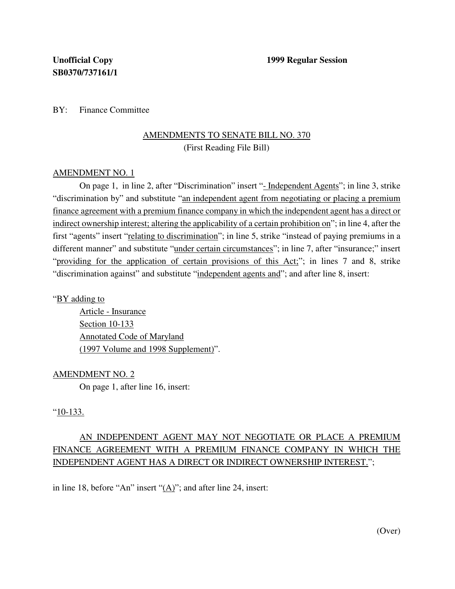BY: Finance Committee

## AMENDMENTS TO SENATE BILL NO. 370 (First Reading File Bill)

## AMENDMENT NO. 1

On page 1, in line 2, after "Discrimination" insert "- Independent Agents"; in line 3, strike "discrimination by" and substitute "an independent agent from negotiating or placing a premium finance agreement with a premium finance company in which the independent agent has a direct or indirect ownership interest; altering the applicability of a certain prohibition on"; in line 4, after the first "agents" insert "relating to discrimination"; in line 5, strike "instead of paying premiums in a different manner" and substitute "under certain circumstances"; in line 7, after "insurance;" insert "providing for the application of certain provisions of this Act;"; in lines 7 and 8, strike "discrimination against" and substitute "independent agents and"; and after line 8, insert:

"BY adding to

Article - Insurance Section 10-133 Annotated Code of Maryland (1997 Volume and 1998 Supplement)".

AMENDMENT NO. 2

On page 1, after line 16, insert:

## "10-133.

## AN INDEPENDENT AGENT MAY NOT NEGOTIATE OR PLACE A PREMIUM FINANCE AGREEMENT WITH A PREMIUM FINANCE COMPANY IN WHICH THE INDEPENDENT AGENT HAS A DIRECT OR INDIRECT OWNERSHIP INTEREST.";

in line 18, before "An" insert "(A)"; and after line 24, insert: